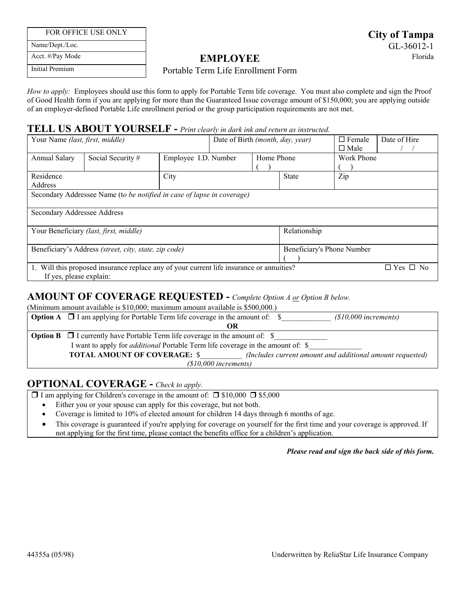FOR OFFICE USE ONLY

Name/Dept./Loc.

**City of Tampa**  GL-36012-1

Acct. #/Pay Mode Initial Premium

**EMPLOYEE** Florida

### Portable Term Life Enrollment Form

 *How to apply:* Employees should use this form to apply for Portable Term life coverage. You must also complete and sign the Proof of Good Health form if you are applying for more than the Guaranteed Issue coverage amount of \$150,000; you are applying outside of an employer-defined Portable Life enrollment period or the group participation requirements are not met.

### **TELL US ABOUT YOURSELF -** *Print clearly in dark ink and return as instructed.*

| Your Name (last, first, middle)                                                                                  |                   |                      | Date of Birth (month, day, year) |              | $\Box$ Female<br>$\Box$ Male | Date of Hire |                      |  |
|------------------------------------------------------------------------------------------------------------------|-------------------|----------------------|----------------------------------|--------------|------------------------------|--------------|----------------------|--|
| Annual Salary                                                                                                    | Social Security # | Employee I.D. Number |                                  | Home Phone   |                              | Work Phone   |                      |  |
| Residence<br><b>Address</b>                                                                                      |                   | City                 |                                  |              | <b>State</b>                 | Zip          |                      |  |
| Secondary Addressee Name (to be notified in case of lapse in coverage)                                           |                   |                      |                                  |              |                              |              |                      |  |
| Secondary Addressee Address                                                                                      |                   |                      |                                  |              |                              |              |                      |  |
| Your Beneficiary (last, first, middle)                                                                           |                   |                      |                                  | Relationship |                              |              |                      |  |
| Beneficiary's Address (street, city, state, zip code)                                                            |                   |                      |                                  |              | Beneficiary's Phone Number   |              |                      |  |
| Will this proposed insurance replace any of your current life insurance or annuities?<br>If yes, please explain: |                   |                      |                                  |              |                              |              | $\Box$ Yes $\Box$ No |  |

# **AMOUNT OF COVERAGE REQUESTED -** *Complete Option A or Option B below.*

(Minimum amount available is \$10,000; maximum amount available is \$500,000.)

|                                                                                        | <b>Option A</b> $\Box$ I am applying for Portable Term life coverage in the amount of: $\$<br>$(S10,000$ increments) |  |  |  |  |  |
|----------------------------------------------------------------------------------------|----------------------------------------------------------------------------------------------------------------------|--|--|--|--|--|
|                                                                                        |                                                                                                                      |  |  |  |  |  |
|                                                                                        | <b>Option B</b> $\Box$ I currently have Portable Term life coverage in the amount of: $\$                            |  |  |  |  |  |
| I want to apply for <i>additional</i> Portable Term life coverage in the amount of: \$ |                                                                                                                      |  |  |  |  |  |
|                                                                                        | <b>TOTAL AMOUNT OF COVERAGE: \$</b><br>(Includes current amount and additional amount requested)                     |  |  |  |  |  |
| $(S10,000$ increments)                                                                 |                                                                                                                      |  |  |  |  |  |

# **OPTIONAL COVERAGE -** *Check to apply.*

 $\Box$  I am applying for Children's coverage in the amount of:  $\Box$  \$10,000  $\Box$  \$5,000

Either you or your spouse can apply for this coverage, but not both.

- Coverage is limited to 10% of elected amount for children 14 days through 6 months of age.
- This coverage is guaranteed if you're applying for coverage on yourself for the first time and your coverage is approved. If not applying for the first time, please contact the benefits office for a children's application.

#### *Please read and sign the back side of this form.*